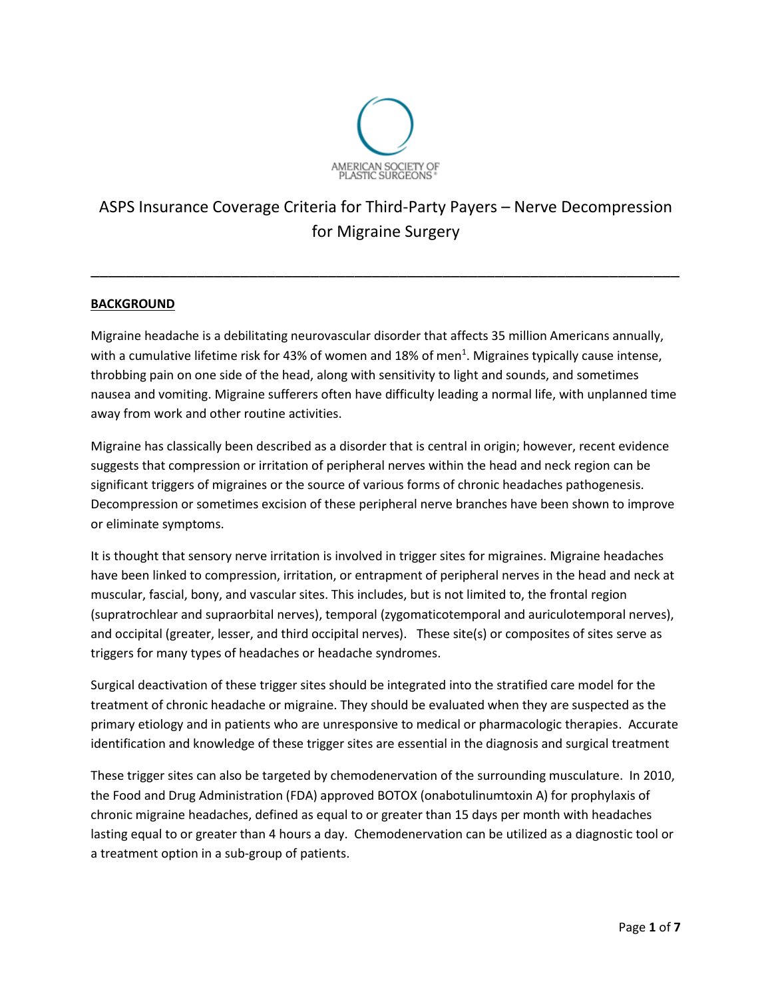

# ASPS Insurance Coverage Criteria for Third-Party Payers – Nerve Decompression for Migraine Surgery

\_\_\_\_\_\_\_\_\_\_\_\_\_\_\_\_\_\_\_\_\_\_\_\_\_\_\_\_\_\_\_\_\_\_\_\_\_\_\_\_\_\_\_\_\_\_\_\_\_\_\_\_\_\_\_\_\_\_\_\_\_\_\_\_\_\_\_

# **BACKGROUND**

Migraine headache is a debilitating neurovascular disorder that affects 35 million Americans annually, with a cumulative lifetime risk for 43% of women and 18% of men<sup>1</sup>. Migraines typically cause intense, throbbing pain on one side of the head, along with sensitivity to light and sounds, and sometimes nausea and vomiting. Migraine sufferers often have difficulty leading a normal life, with unplanned time away from work and other routine activities.

Migraine has classically been described as a disorder that is central in origin; however, recent evidence suggests that compression or irritation of peripheral nerves within the head and neck region can be significant triggers of migraines or the source of various forms of chronic headaches pathogenesis. Decompression or sometimes excision of these peripheral nerve branches have been shown to improve or eliminate symptoms.

It is thought that sensory nerve irritation is involved in trigger sites for migraines. Migraine headaches have been linked to compression, irritation, or entrapment of peripheral nerves in the head and neck at muscular, fascial, bony, and vascular sites. This includes, but is not limited to, the frontal region (supratrochlear and supraorbital nerves), temporal (zygomaticotemporal and auriculotemporal nerves), and occipital (greater, lesser, and third occipital nerves). These site(s) or composites of sites serve as triggers for many types of headaches or headache syndromes.

Surgical deactivation of these trigger sites should be integrated into the stratified care model for the treatment of chronic headache or migraine. They should be evaluated when they are suspected as the primary etiology and in patients who are unresponsive to medical or pharmacologic therapies. Accurate identification and knowledge of these trigger sites are essential in the diagnosis and surgical treatment

These trigger sites can also be targeted by chemodenervation of the surrounding musculature. In 2010, the Food and Drug Administration (FDA) approved BOTOX (onabotulinumtoxin A) for prophylaxis of chronic migraine headaches, defined as equal to or greater than 15 days per month with headaches lasting equal to or greater than 4 hours a day. Chemodenervation can be utilized as a diagnostic tool or a treatment option in a sub-group of patients.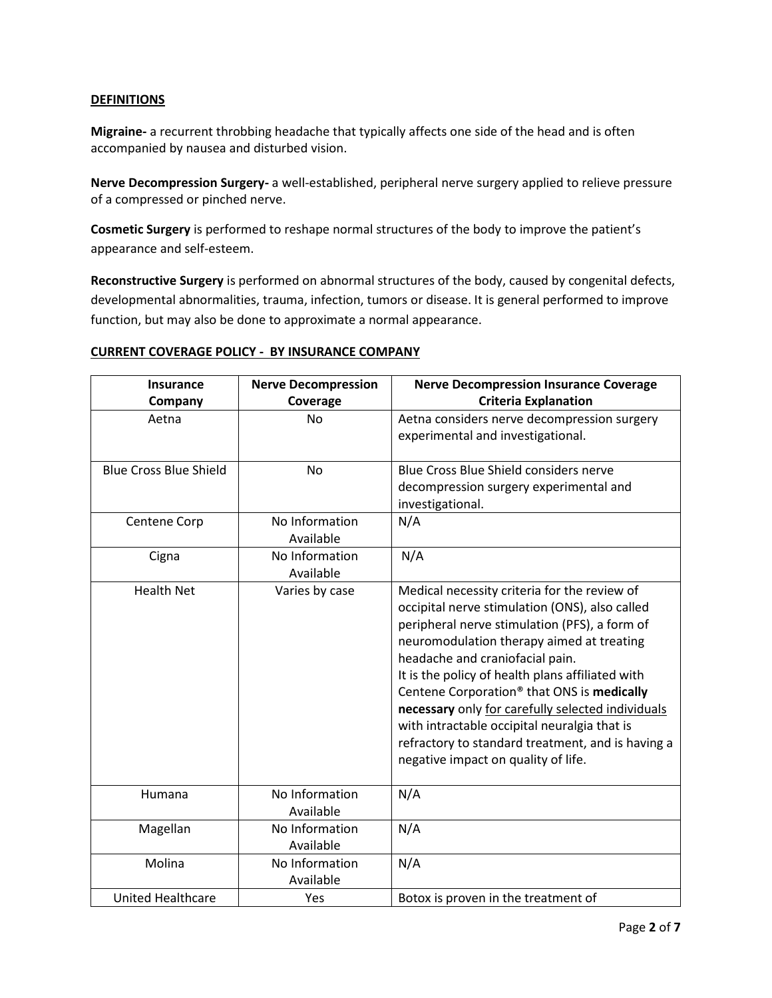## **DEFINITIONS**

**Migraine-** a recurrent throbbing headache that typically affects one side of the head and is often accompanied by nausea and disturbed vision.

**Nerve Decompression Surgery-** a well-established, peripheral nerve surgery applied to relieve pressure of a compressed or pinched nerve.

**Cosmetic Surgery** is performed to reshape normal structures of the body to improve the patient's appearance and self-esteem.

**Reconstructive Surgery** is performed on abnormal structures of the body, caused by congenital defects, developmental abnormalities, trauma, infection, tumors or disease. It is general performed to improve function, but may also be done to approximate a normal appearance.

#### **CURRENT COVERAGE POLICY - BY INSURANCE COMPANY**

| Insurance                     | <b>Nerve Decompression</b>  | <b>Nerve Decompression Insurance Coverage</b>                                                                                                                                                                                                                                                                                                                                                                                                                                                                                                  |
|-------------------------------|-----------------------------|------------------------------------------------------------------------------------------------------------------------------------------------------------------------------------------------------------------------------------------------------------------------------------------------------------------------------------------------------------------------------------------------------------------------------------------------------------------------------------------------------------------------------------------------|
| Company                       | Coverage                    | <b>Criteria Explanation</b>                                                                                                                                                                                                                                                                                                                                                                                                                                                                                                                    |
| Aetna                         | <b>No</b>                   | Aetna considers nerve decompression surgery<br>experimental and investigational.                                                                                                                                                                                                                                                                                                                                                                                                                                                               |
| <b>Blue Cross Blue Shield</b> | <b>No</b>                   | Blue Cross Blue Shield considers nerve<br>decompression surgery experimental and<br>investigational.                                                                                                                                                                                                                                                                                                                                                                                                                                           |
| Centene Corp                  | No Information<br>Available | N/A                                                                                                                                                                                                                                                                                                                                                                                                                                                                                                                                            |
| Cigna                         | No Information<br>Available | N/A                                                                                                                                                                                                                                                                                                                                                                                                                                                                                                                                            |
| <b>Health Net</b>             | Varies by case              | Medical necessity criteria for the review of<br>occipital nerve stimulation (ONS), also called<br>peripheral nerve stimulation (PFS), a form of<br>neuromodulation therapy aimed at treating<br>headache and craniofacial pain.<br>It is the policy of health plans affiliated with<br>Centene Corporation <sup>®</sup> that ONS is medically<br>necessary only for carefully selected individuals<br>with intractable occipital neuralgia that is<br>refractory to standard treatment, and is having a<br>negative impact on quality of life. |
| Humana                        | No Information<br>Available | N/A                                                                                                                                                                                                                                                                                                                                                                                                                                                                                                                                            |
| Magellan                      | No Information<br>Available | N/A                                                                                                                                                                                                                                                                                                                                                                                                                                                                                                                                            |
| Molina                        | No Information<br>Available | N/A                                                                                                                                                                                                                                                                                                                                                                                                                                                                                                                                            |
| <b>United Healthcare</b>      | Yes                         | Botox is proven in the treatment of                                                                                                                                                                                                                                                                                                                                                                                                                                                                                                            |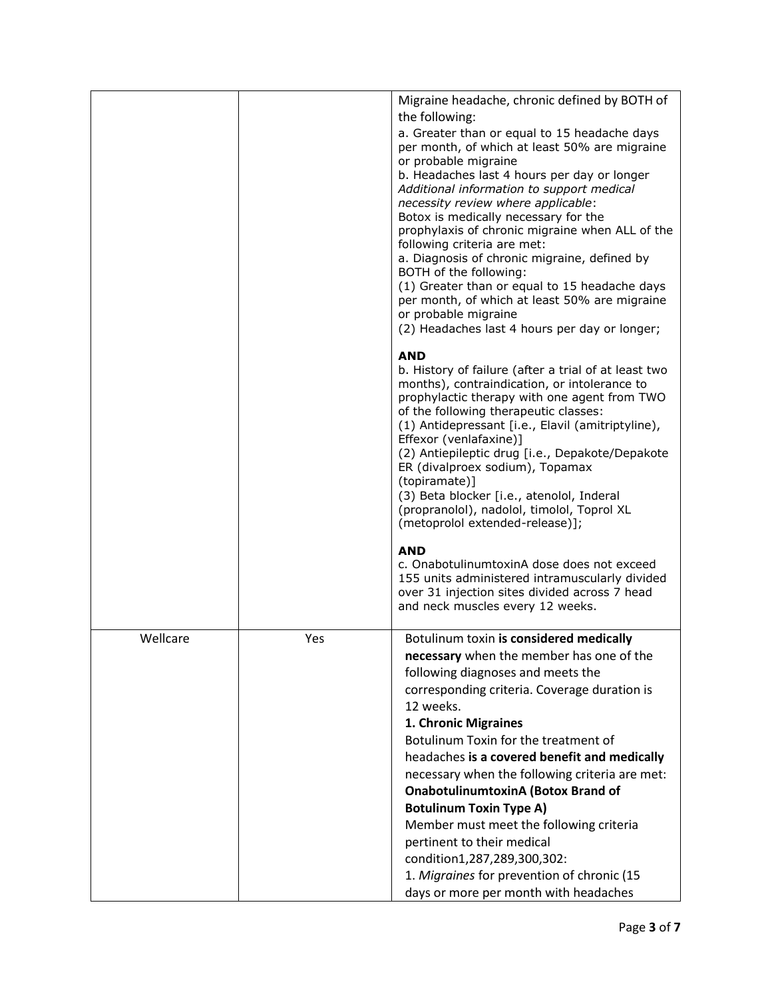|          |     | Migraine headache, chronic defined by BOTH of                                            |
|----------|-----|------------------------------------------------------------------------------------------|
|          |     | the following:                                                                           |
|          |     | a. Greater than or equal to 15 headache days                                             |
|          |     | per month, of which at least 50% are migraine                                            |
|          |     | or probable migraine                                                                     |
|          |     | b. Headaches last 4 hours per day or longer<br>Additional information to support medical |
|          |     | necessity review where applicable:                                                       |
|          |     | Botox is medically necessary for the                                                     |
|          |     | prophylaxis of chronic migraine when ALL of the                                          |
|          |     | following criteria are met:                                                              |
|          |     | a. Diagnosis of chronic migraine, defined by<br>BOTH of the following:                   |
|          |     | (1) Greater than or equal to 15 headache days                                            |
|          |     | per month, of which at least 50% are migraine                                            |
|          |     | or probable migraine                                                                     |
|          |     | (2) Headaches last 4 hours per day or longer;                                            |
|          |     |                                                                                          |
|          |     | <b>AND</b><br>b. History of failure (after a trial of at least two                       |
|          |     | months), contraindication, or intolerance to                                             |
|          |     | prophylactic therapy with one agent from TWO                                             |
|          |     | of the following therapeutic classes:                                                    |
|          |     | (1) Antidepressant [i.e., Elavil (amitriptyline),                                        |
|          |     | Effexor (venlafaxine)]                                                                   |
|          |     | (2) Antiepileptic drug [i.e., Depakote/Depakote<br>ER (divalproex sodium), Topamax       |
|          |     | (topiramate)]                                                                            |
|          |     | (3) Beta blocker [i.e., atenolol, Inderal                                                |
|          |     | (propranolol), nadolol, timolol, Toprol XL                                               |
|          |     | (metoprolol extended-release)];                                                          |
|          |     | <b>AND</b>                                                                               |
|          |     | c. OnabotulinumtoxinA dose does not exceed                                               |
|          |     | 155 units administered intramuscularly divided                                           |
|          |     | over 31 injection sites divided across 7 head                                            |
|          |     | and neck muscles every 12 weeks.                                                         |
|          |     |                                                                                          |
| Wellcare | Yes | Botulinum toxin is considered medically                                                  |
|          |     | necessary when the member has one of the                                                 |
|          |     | following diagnoses and meets the                                                        |
|          |     | corresponding criteria. Coverage duration is                                             |
|          |     | 12 weeks.                                                                                |
|          |     | 1. Chronic Migraines                                                                     |
|          |     | Botulinum Toxin for the treatment of                                                     |
|          |     | headaches is a covered benefit and medically                                             |
|          |     | necessary when the following criteria are met:                                           |
|          |     | <b>OnabotulinumtoxinA (Botox Brand of</b>                                                |
|          |     | <b>Botulinum Toxin Type A)</b>                                                           |
|          |     | Member must meet the following criteria                                                  |
|          |     | pertinent to their medical                                                               |
|          |     | condition1,287,289,300,302:                                                              |
|          |     | 1. Migraines for prevention of chronic (15                                               |
|          |     | days or more per month with headaches                                                    |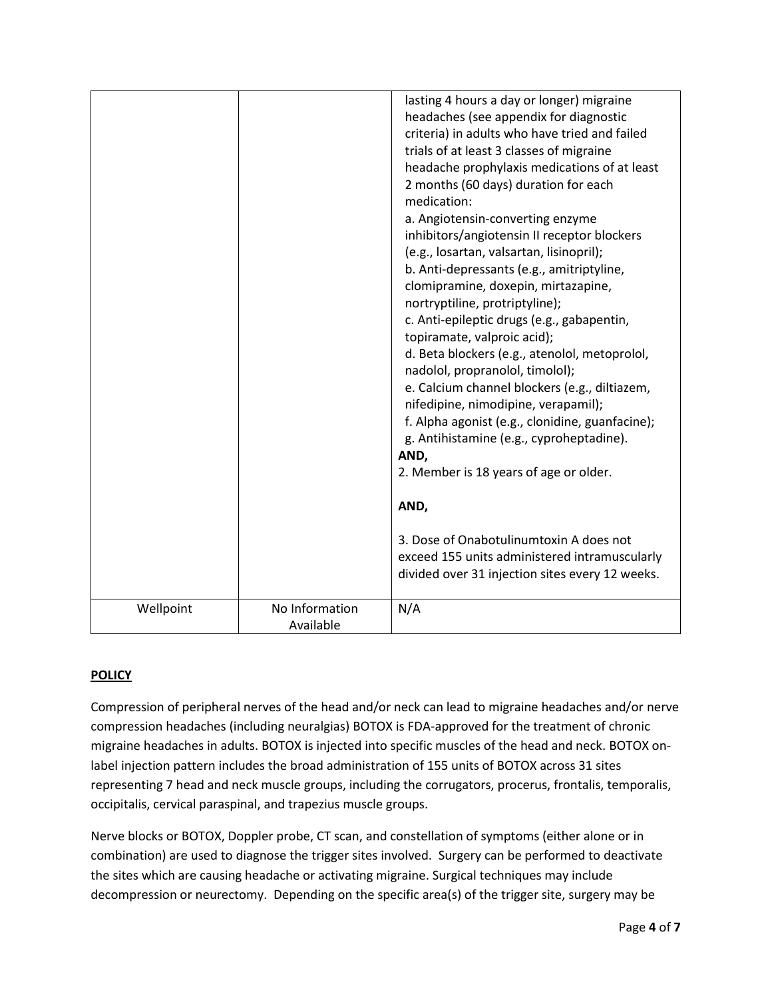|           |                             | lasting 4 hours a day or longer) migraine<br>headaches (see appendix for diagnostic<br>criteria) in adults who have tried and failed<br>trials of at least 3 classes of migraine<br>headache prophylaxis medications of at least<br>2 months (60 days) duration for each<br>medication:<br>a. Angiotensin-converting enzyme<br>inhibitors/angiotensin II receptor blockers<br>(e.g., losartan, valsartan, lisinopril);<br>b. Anti-depressants (e.g., amitriptyline,<br>clomipramine, doxepin, mirtazapine,<br>nortryptiline, protriptyline);<br>c. Anti-epileptic drugs (e.g., gabapentin,<br>topiramate, valproic acid);<br>d. Beta blockers (e.g., atenolol, metoprolol,<br>nadolol, propranolol, timolol);<br>e. Calcium channel blockers (e.g., diltiazem,<br>nifedipine, nimodipine, verapamil);<br>f. Alpha agonist (e.g., clonidine, guanfacine);<br>g. Antihistamine (e.g., cyproheptadine).<br>AND,<br>2. Member is 18 years of age or older.<br>AND,<br>3. Dose of Onabotulinumtoxin A does not<br>exceed 155 units administered intramuscularly<br>divided over 31 injection sites every 12 weeks. |
|-----------|-----------------------------|---------------------------------------------------------------------------------------------------------------------------------------------------------------------------------------------------------------------------------------------------------------------------------------------------------------------------------------------------------------------------------------------------------------------------------------------------------------------------------------------------------------------------------------------------------------------------------------------------------------------------------------------------------------------------------------------------------------------------------------------------------------------------------------------------------------------------------------------------------------------------------------------------------------------------------------------------------------------------------------------------------------------------------------------------------------------------------------------------------------|
| Wellpoint | No Information<br>Available | N/A                                                                                                                                                                                                                                                                                                                                                                                                                                                                                                                                                                                                                                                                                                                                                                                                                                                                                                                                                                                                                                                                                                           |

# **POLICY**

Compression of peripheral nerves of the head and/or neck can lead to migraine headaches and/or nerve compression headaches (including neuralgias) BOTOX is FDA-approved for the treatment of chronic migraine headaches in adults. BOTOX is injected into specific muscles of the head and neck. BOTOX onlabel injection pattern includes the broad administration of 155 units of BOTOX across 31 sites representing 7 head and neck muscle groups, including the corrugators, procerus, frontalis, temporalis, occipitalis, cervical paraspinal, and trapezius muscle groups.

Nerve blocks or BOTOX, Doppler probe, CT scan, and constellation of symptoms (either alone or in combination) are used to diagnose the trigger sites involved. Surgery can be performed to deactivate the sites which are causing headache or activating migraine. Surgical techniques may include decompression or neurectomy. Depending on the specific area(s) of the trigger site, surgery may be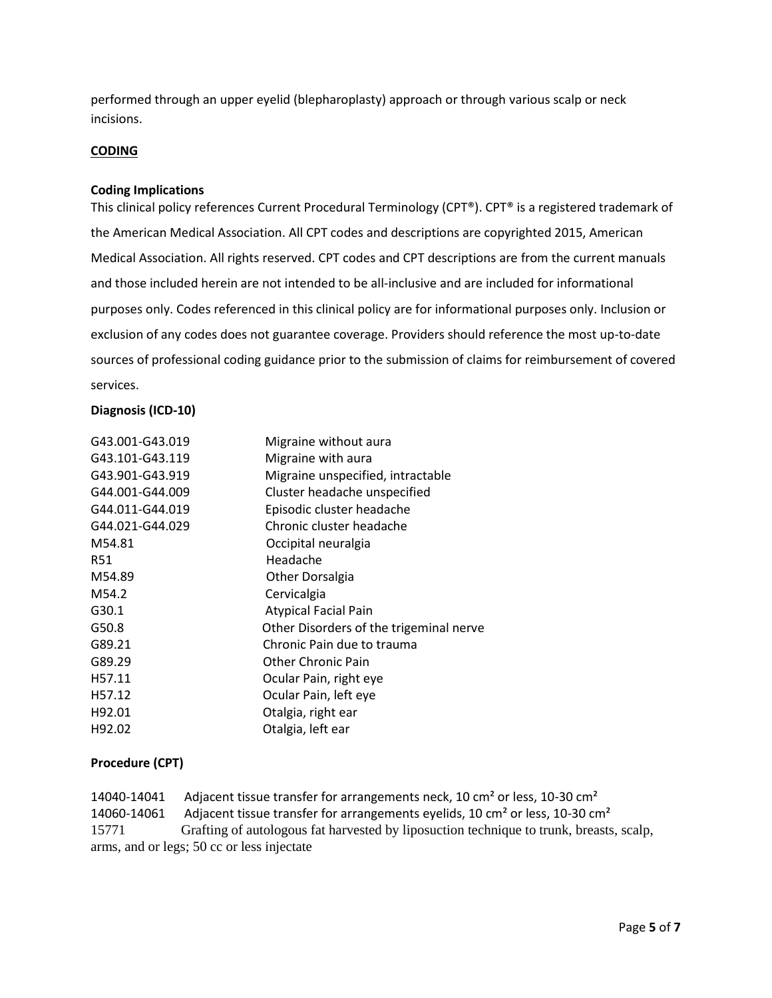performed through an upper eyelid (blepharoplasty) approach or through various scalp or neck incisions.

#### **CODING**

#### **Coding Implications**

This clinical policy references Current Procedural Terminology (CPT®). CPT® is a registered trademark of the American Medical Association. All CPT codes and descriptions are copyrighted 2015, American Medical Association. All rights reserved. CPT codes and CPT descriptions are from the current manuals and those included herein are not intended to be all-inclusive and are included for informational purposes only. Codes referenced in this clinical policy are for informational purposes only. Inclusion or exclusion of any codes does not guarantee coverage. Providers should reference the most up-to-date sources of professional coding guidance prior to the submission of claims for reimbursement of covered services.

#### **Diagnosis (ICD-10)**

| G43.001-G43.019 | Migraine without aura                   |
|-----------------|-----------------------------------------|
| G43.101-G43.119 | Migraine with aura                      |
| G43.901-G43.919 | Migraine unspecified, intractable       |
| G44.001-G44.009 | Cluster headache unspecified            |
| G44.011-G44.019 | Episodic cluster headache               |
| G44.021-G44.029 | Chronic cluster headache                |
| M54.81          | Occipital neuralgia                     |
| <b>R51</b>      | Headache                                |
| M54.89          | <b>Other Dorsalgia</b>                  |
| M54.2           | Cervicalgia                             |
| G30.1           | <b>Atypical Facial Pain</b>             |
| G50.8           | Other Disorders of the trigeminal nerve |
| G89.21          | Chronic Pain due to trauma              |
| G89.29          | <b>Other Chronic Pain</b>               |
| H57.11          | Ocular Pain, right eye                  |
| H57.12          | Ocular Pain, left eye                   |
| H92.01          | Otalgia, right ear                      |
| H92.02          | Otalgia, left ear                       |

# **Procedure (CPT)**

14040-14041 Adjacent tissue transfer for arrangements neck, 10 cm<sup>2</sup> or less, 10-30 cm<sup>2</sup> 14060-14061 Adjacent tissue transfer for arrangements eyelids, 10 cm² or less, 10-30 cm² 15771 Grafting of autologous fat harvested by liposuction technique to trunk, breasts, scalp, arms, and or legs; 50 cc or less injectate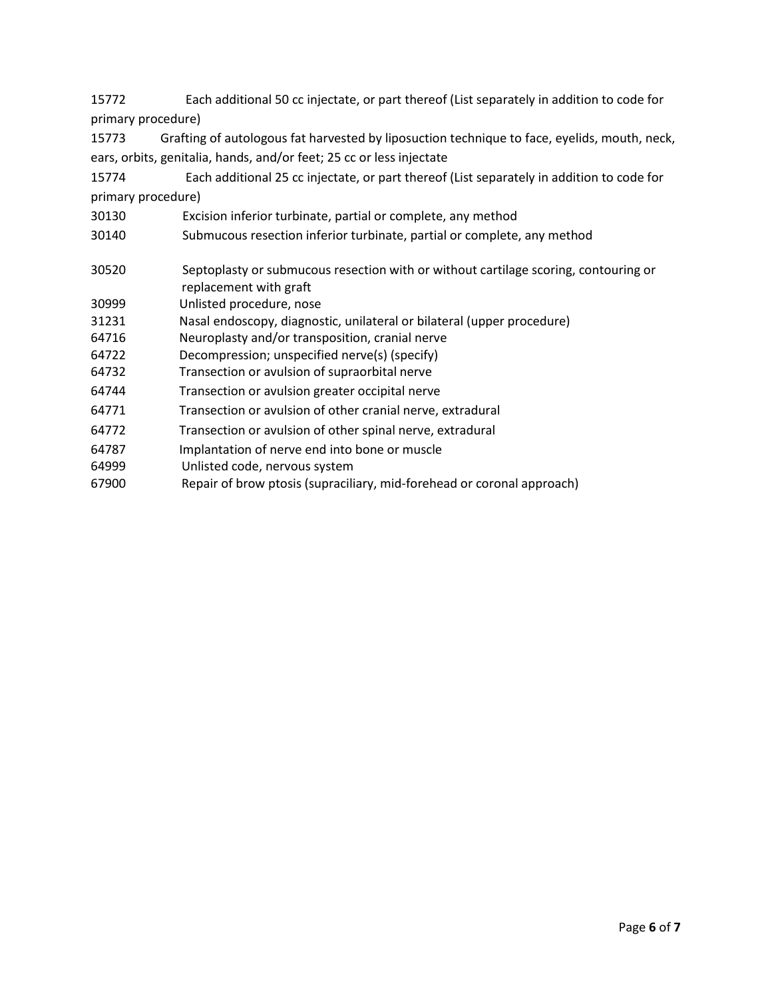15772 Each additional 50 cc injectate, or part thereof (List separately in addition to code for primary procedure)

15773 Grafting of autologous fat harvested by liposuction technique to face, eyelids, mouth, neck, ears, orbits, genitalia, hands, and/or feet; 25 cc or less injectate

- 15774 Each additional 25 cc injectate, or part thereof (List separately in addition to code for primary procedure)
- 30130 Excision inferior turbinate, partial or complete, any method
- 30140 Submucous resection inferior turbinate, partial or complete, any method
- 30520 Septoplasty or submucous resection with or without cartilage scoring, contouring or replacement with graft
- 30999 Unlisted procedure, nose
- 31231 Nasal endoscopy, diagnostic, unilateral or bilateral (upper procedure)
- 64716 Neuroplasty and/or transposition, cranial nerve
- 64722 Decompression; unspecified nerve(s) (specify)
- 64732 Transection or avulsion of supraorbital nerve
- 64744 Transection or avulsion greater occipital nerve
- 64771 Transection or avulsion of other cranial nerve, extradural
- 64772 Transection or avulsion of other spinal nerve, extradural
- 64787 Implantation of nerve end into bone or muscle
- 64999 Unlisted code, nervous system
- 67900 Repair of brow ptosis (supraciliary, mid-forehead or coronal approach)